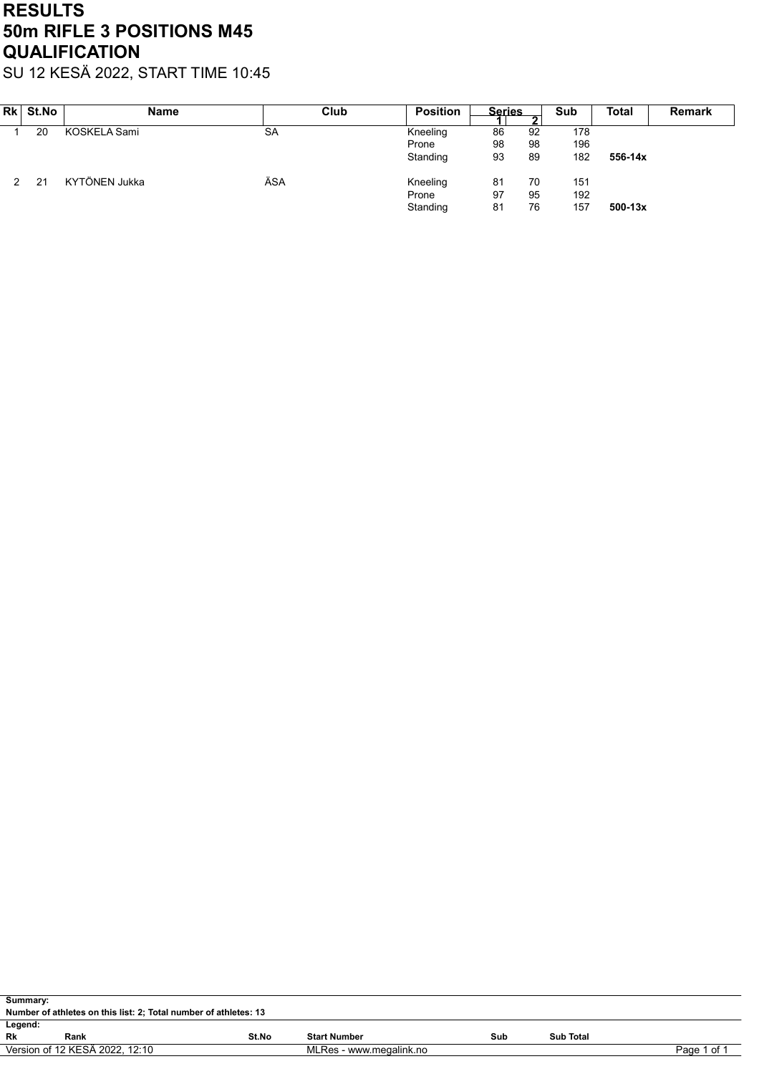## RESULTS 50m RIFLE 3 POSITIONS M45 **QUALIFICATION**

SU 12 KESÄ 2022, START TIME 10:45

| Rk St.No | <b>Name</b>   | Club      | <b>Position</b> | <b>Series</b> | ◠  | Sub | <b>Total</b> | <b>Remark</b> |
|----------|---------------|-----------|-----------------|---------------|----|-----|--------------|---------------|
| 20       | KOSKELA Sami  | <b>SA</b> | Kneeling        | 86            | 92 | 178 |              |               |
|          |               |           | Prone           | 98            | 98 | 196 |              |               |
|          |               |           | Standing        | 93            | 89 | 182 | 556-14x      |               |
| 21       | KYTÖNEN Jukka | ÄSA       | Kneeling        | 81            | 70 | 151 |              |               |
|          |               |           | Prone           | 97            | 95 | 192 |              |               |
|          |               |           | Standing        | 81            | 76 | 157 | $500 - 13x$  |               |

| Summary:                                                                 |      |       |                     |     |                  |  |  |  |  |  |
|--------------------------------------------------------------------------|------|-------|---------------------|-----|------------------|--|--|--|--|--|
| Number of athletes on this list: 2; Total number of athletes: 13         |      |       |                     |     |                  |  |  |  |  |  |
| Legend:                                                                  |      |       |                     |     |                  |  |  |  |  |  |
| Rk                                                                       | Rank | St.No | <b>Start Number</b> | Sub | <b>Sub Total</b> |  |  |  |  |  |
| Version of 12 KESÄ 2022, 12:10<br>MLRes - www.megalink.no<br>Page 1 of 1 |      |       |                     |     |                  |  |  |  |  |  |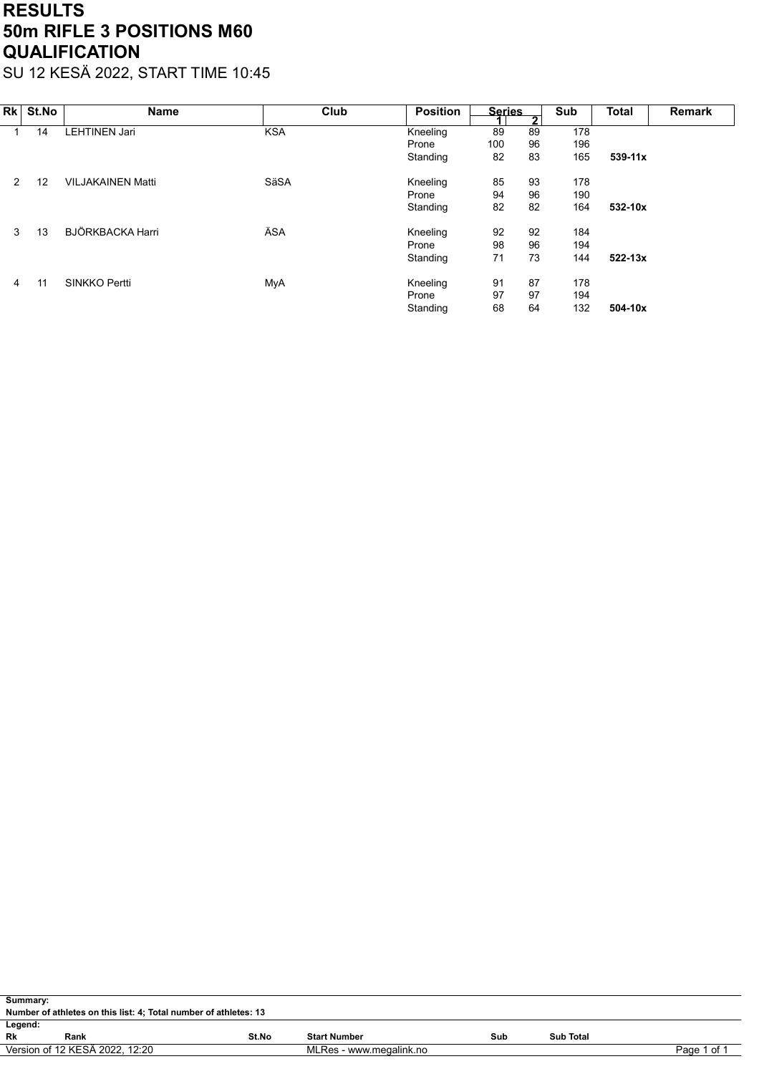## RESULTS 50m RIFLE 3 POSITIONS M60 **QUALIFICATION**

SU 12 KESÄ 2022, START TIME 10:45

| Rk | St.No | <b>Name</b>              | Club       | <b>Position</b> | <b>Series</b> | $\overline{2}$ | Sub | <b>Total</b> | <b>Remark</b> |
|----|-------|--------------------------|------------|-----------------|---------------|----------------|-----|--------------|---------------|
|    | 14    | LEHTINEN Jari            | <b>KSA</b> | Kneeling        | 89            | 89             | 178 |              |               |
|    |       |                          |            | Prone           | 100           | 96             | 196 |              |               |
|    |       |                          |            | Standing        | 82            | 83             | 165 | $539 - 11x$  |               |
| 2  | 12    | <b>VILJAKAINEN Matti</b> | SäSA       | Kneeling        | 85            | 93             | 178 |              |               |
|    |       |                          |            | Prone           | 94            | 96             | 190 |              |               |
|    |       |                          |            | Standing        | 82            | 82             | 164 | 532-10x      |               |
| 3  | 13    | BJÖRKBACKA Harri         | ÄSA        | Kneeling        | 92            | 92             | 184 |              |               |
|    |       |                          |            | Prone           | 98            | 96             | 194 |              |               |
|    |       |                          |            | Standing        | 71            | 73             | 144 | $522 - 13x$  |               |
| 4  | 11    | <b>SINKKO Pertti</b>     | MyA        | Kneeling        | 91            | 87             | 178 |              |               |
|    |       |                          |            | Prone           | 97            | 97             | 194 |              |               |
|    |       |                          |            | Standing        | 68            | 64             | 132 | 504-10x      |               |

| Summary: |                                                                          |       |                     |     |           |  |  |  |  |  |
|----------|--------------------------------------------------------------------------|-------|---------------------|-----|-----------|--|--|--|--|--|
|          | Number of athletes on this list: 4; Total number of athletes: 13         |       |                     |     |           |  |  |  |  |  |
| Legend:  |                                                                          |       |                     |     |           |  |  |  |  |  |
| Rk       | Rank                                                                     | St.No | <b>Start Number</b> | Sub | Sub Total |  |  |  |  |  |
|          | Version of 12 KESÄ 2022. 12:20<br>Page 1 of 1<br>MLRes - www.megalink.no |       |                     |     |           |  |  |  |  |  |
|          |                                                                          |       |                     |     |           |  |  |  |  |  |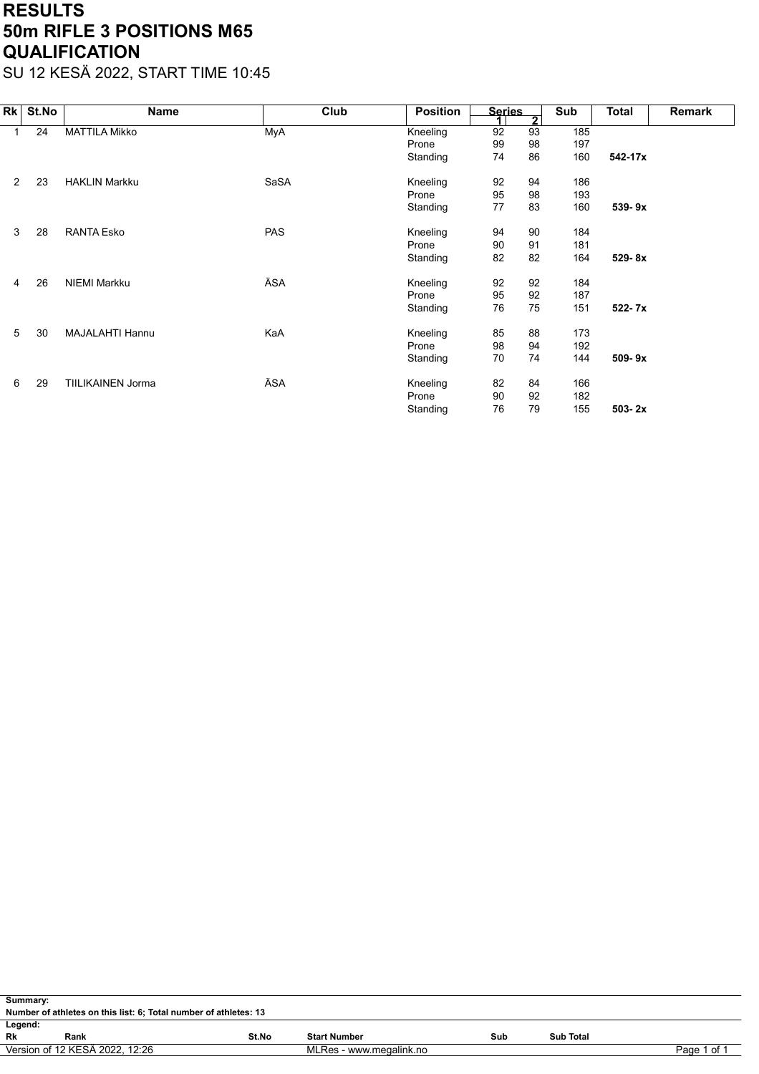## RESULTS 50m RIFLE 3 POSITIONS M65 **QUALIFICATION**

SU 12 KESÄ 2022, START TIME 10:45

| Rk             | St.No | Name                     | Club       | <b>Position</b> | <b>Series</b> | $\overline{\mathbf{2}}$ | Sub | Total      | Remark |
|----------------|-------|--------------------------|------------|-----------------|---------------|-------------------------|-----|------------|--------|
|                | 24    | <b>MATTILA Mikko</b>     | MyA        | Kneeling        | 92            | 93                      | 185 |            |        |
|                |       |                          |            | Prone           | 99            | 98                      | 197 |            |        |
|                |       |                          |            | Standing        | 74            | 86                      | 160 | 542-17x    |        |
| $\overline{2}$ | 23    | <b>HAKLIN Markku</b>     | SaSA       | Kneeling        | 92            | 94                      | 186 |            |        |
|                |       |                          |            | Prone           | 95            | 98                      | 193 |            |        |
|                |       |                          |            | Standing        | 77            | 83                      | 160 | 539-9x     |        |
| 3              | 28    | <b>RANTA Esko</b>        | <b>PAS</b> | Kneeling        | 94            | 90                      | 184 |            |        |
|                |       |                          |            | Prone           | 90            | 91                      | 181 |            |        |
|                |       |                          |            | Standing        | 82            | 82                      | 164 | 529-8x     |        |
| 4              | 26    | <b>NIEMI Markku</b>      | ÄSA        | Kneeling        | 92            | 92                      | 184 |            |        |
|                |       |                          |            | Prone           | 95            | 92                      | 187 |            |        |
|                |       |                          |            | Standing        | 76            | 75                      | 151 | 522-7x     |        |
| 5              | 30    | <b>MAJALAHTI Hannu</b>   | KaA        | Kneeling        | 85            | 88                      | 173 |            |        |
|                |       |                          |            | Prone           | 98            | 94                      | 192 |            |        |
|                |       |                          |            | Standing        | 70            | 74                      | 144 | 509-9x     |        |
| 6              | 29    | <b>TIILIKAINEN Jorma</b> | ÄSA        | Kneeling        | 82            | 84                      | 166 |            |        |
|                |       |                          |            | Prone           | 90            | 92                      | 182 |            |        |
|                |       |                          |            | Standing        | 76            | 79                      | 155 | $503 - 2x$ |        |

|         | Summary:                                                                 |       |                     |     |           |  |  |  |  |  |  |
|---------|--------------------------------------------------------------------------|-------|---------------------|-----|-----------|--|--|--|--|--|--|
|         | Number of athletes on this list: 6; Total number of athletes: 13         |       |                     |     |           |  |  |  |  |  |  |
| Legend: |                                                                          |       |                     |     |           |  |  |  |  |  |  |
| Rk      | Rank                                                                     | St.No | <b>Start Number</b> | Sub | Sub Total |  |  |  |  |  |  |
|         | Version of 12 KESÄ 2022. 12:26<br>MLRes - www.megalink.no<br>Page 1 of 1 |       |                     |     |           |  |  |  |  |  |  |
|         |                                                                          |       |                     |     |           |  |  |  |  |  |  |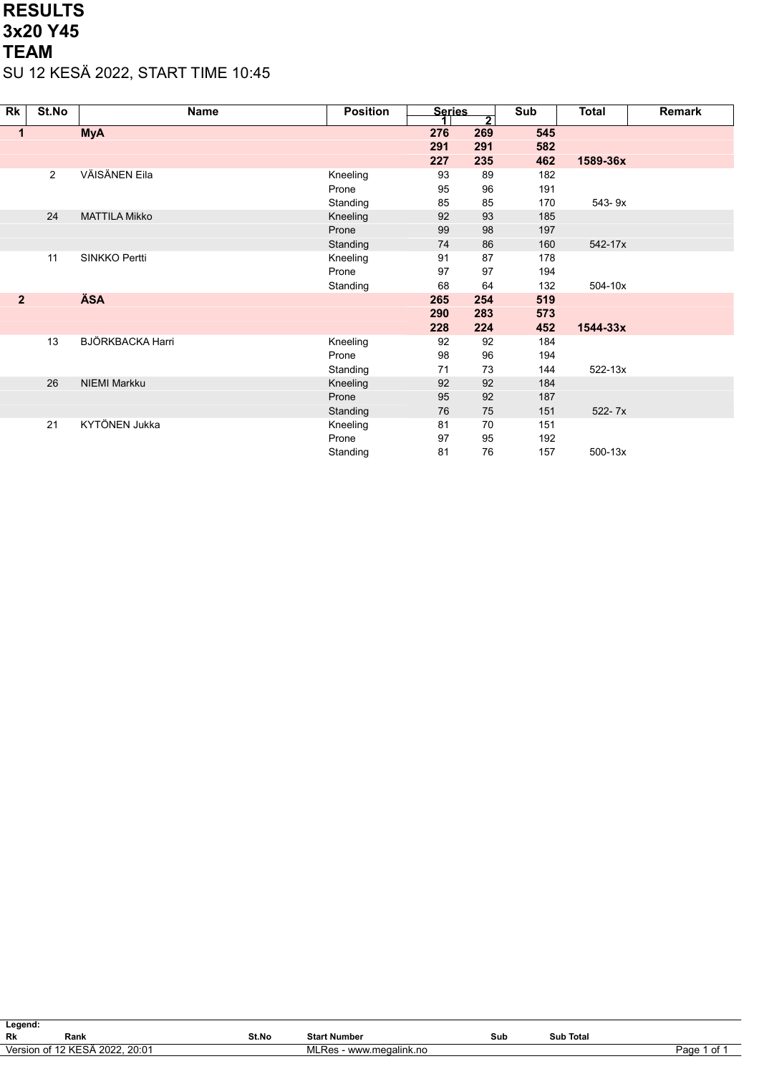## RESULTS 3x20 Y45 TEAM SU 12 KESÄ 2022, START TIME 10:45

| Rk             | St.No | <b>Name</b>             | <b>Position</b> | <b>Series</b> | $\overline{\mathbf{2}}$ | Sub | Total        | <b>Remark</b> |
|----------------|-------|-------------------------|-----------------|---------------|-------------------------|-----|--------------|---------------|
| 1              |       | <b>MyA</b>              |                 | 276           | 269                     | 545 |              |               |
|                |       |                         |                 | 291           | 291                     | 582 |              |               |
|                |       |                         |                 | 227           | 235                     | 462 | 1589-36x     |               |
|                | 2     | VÄISÄNEN Eila           | Kneeling        | 93            | 89                      | 182 |              |               |
|                |       |                         | Prone           | 95            | 96                      | 191 |              |               |
|                |       |                         | Standing        | 85            | 85                      | 170 | 543-9x       |               |
|                | 24    | <b>MATTILA Mikko</b>    | Kneeling        | 92            | 93                      | 185 |              |               |
|                |       |                         | Prone           | 99            | 98                      | 197 |              |               |
|                |       |                         | Standing        | 74            | 86                      | 160 | 542-17x      |               |
|                | 11    | SINKKO Pertti           | Kneeling        | 91            | 87                      | 178 |              |               |
|                |       |                         | Prone           | 97            | 97                      | 194 |              |               |
|                |       |                         | Standing        | 68            | 64                      | 132 | 504-10x      |               |
| $\overline{2}$ |       | <b>ÄSA</b>              |                 | 265           | 254                     | 519 |              |               |
|                |       |                         |                 | 290           | 283                     | 573 |              |               |
|                |       |                         |                 | 228           | 224                     | 452 | $1544 - 33x$ |               |
|                | 13    | <b>BJÖRKBACKA Harri</b> | Kneeling        | 92            | 92                      | 184 |              |               |
|                |       |                         | Prone           | 98            | 96                      | 194 |              |               |
|                |       |                         | Standing        | 71            | 73                      | 144 | 522-13x      |               |
|                | 26    | <b>NIEMI Markku</b>     | Kneeling        | 92            | 92                      | 184 |              |               |
|                |       |                         | Prone           | 95            | 92                      | 187 |              |               |
|                |       |                         | Standing        | 76            | 75                      | 151 | 522-7x       |               |
|                | 21    | KYTÖNEN Jukka           | Kneeling        | 81            | 70                      | 151 |              |               |
|                |       |                         | Prone           | 97            | 95                      | 192 |              |               |
|                |       |                         | Standing        | 81            | 76                      | 157 | $500 - 13x$  |               |

| Legend:   |                                |       |                         |     |                  |            |  |  |  |  |
|-----------|--------------------------------|-------|-------------------------|-----|------------------|------------|--|--|--|--|
| <b>Rk</b> | Rank                           | St.No | <b>Start Number</b>     | Sub | <b>Sub Total</b> |            |  |  |  |  |
| Version   | ้า of 12 KESA<br>2022<br>20:01 |       | www.megalink.no<br>.Res |     |                  | Page<br>ot |  |  |  |  |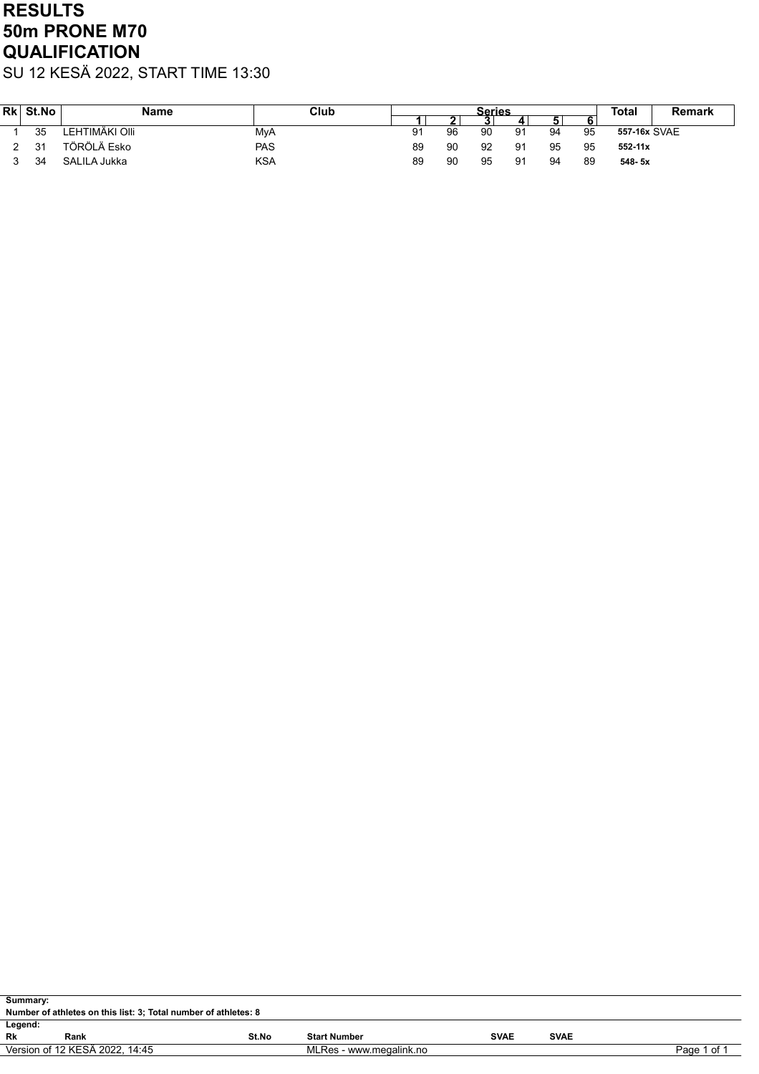# RESULTS 50m PRONE M70 **QUALIFICATION**

SU 12 KESÄ 2022, START TIME 13:30

| <b>Rk</b> | St.No | <b>Name</b>    | Club       |    |    | Series |    |    |    | Total        | Remark |
|-----------|-------|----------------|------------|----|----|--------|----|----|----|--------------|--------|
|           |       |                |            |    | -  |        |    | 5  | О  |              |        |
|           | 35    | LEHTIMÄKI OIII | MyA        | 91 | 96 | 90     | 91 | 94 | 95 | 557-16x SVAE |        |
|           | 31    | TÖRÖLÄ Esko    | <b>PAS</b> | 89 | 90 | 92     | 91 | 95 | 95 | $552 - 11x$  |        |
|           | 34    | SALILA Jukka   | <b>KSA</b> | 89 | 90 | 95     | 91 | 94 | 89 | 548-5x       |        |

| Summary:                                                        |                                                                          |       |                     |             |             |  |  |  |  |  |
|-----------------------------------------------------------------|--------------------------------------------------------------------------|-------|---------------------|-------------|-------------|--|--|--|--|--|
| Number of athletes on this list: 3; Total number of athletes: 8 |                                                                          |       |                     |             |             |  |  |  |  |  |
| Legend:                                                         |                                                                          |       |                     |             |             |  |  |  |  |  |
| Rk                                                              | Rank                                                                     | St.No | <b>Start Number</b> | <b>SVAE</b> | <b>SVAE</b> |  |  |  |  |  |
|                                                                 | Version of 12 KESÄ 2022, 14:45<br>MLRes - www.megalink.no<br>Page 1 of 1 |       |                     |             |             |  |  |  |  |  |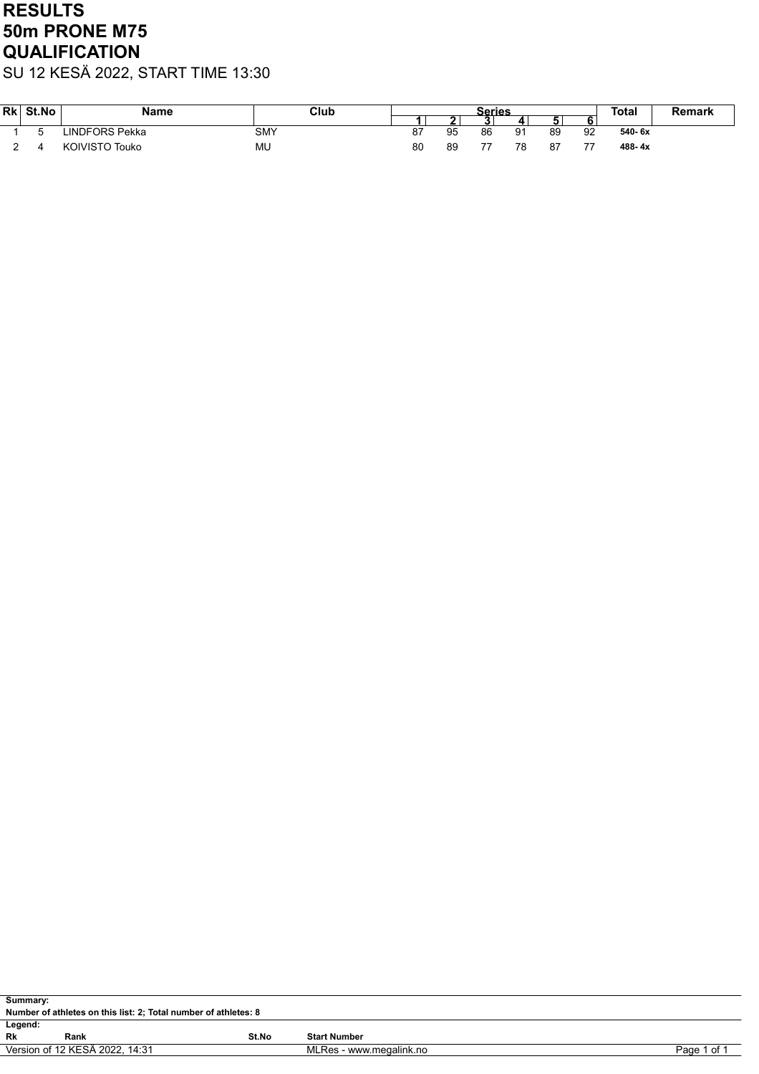# RESULTS 50m PRONE M75 **QUALIFICATION**

SU 12 KESÄ 2022, START TIME 13:30

| Rk | St.No | Name                  | Club       |    |    | Series        |    | <b>Total</b> | Remark |        |  |
|----|-------|-----------------------|------------|----|----|---------------|----|--------------|--------|--------|--|
|    |       |                       |            |    |    |               |    |              |        |        |  |
|    |       | <b>INDFORS Pekka</b>  | <b>SMY</b> | 87 | 95 | 86            | 91 | 89           | 92     | 540-6x |  |
|    |       | <b>KOIVISTO Touko</b> | MU         | 80 | 89 | $\rightarrow$ | 78 | 87           | --     | 488-4x |  |

| Summary:  |                                                                          |       |                     |  |  |  |  |  |  |  |
|-----------|--------------------------------------------------------------------------|-------|---------------------|--|--|--|--|--|--|--|
|           | Number of athletes on this list: 2; Total number of athletes: 8          |       |                     |  |  |  |  |  |  |  |
| Legend:   |                                                                          |       |                     |  |  |  |  |  |  |  |
| <b>Rk</b> | Rank                                                                     | St.No | <b>Start Number</b> |  |  |  |  |  |  |  |
|           | Version of 12 KESÄ 2022, 14:31<br>MLRes - www.megalink.no<br>Page 1 of 1 |       |                     |  |  |  |  |  |  |  |
|           |                                                                          |       |                     |  |  |  |  |  |  |  |